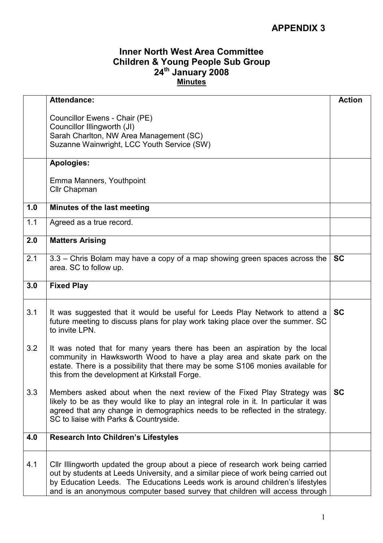## APPENDIX 3

## Inner North West Area Committee Children & Young People Sub Group 24<sup>th</sup> January 2008 Minutes

|     | <b>Attendance:</b>                                                                                                                                                                                                                                                                                                                    | <b>Action</b> |
|-----|---------------------------------------------------------------------------------------------------------------------------------------------------------------------------------------------------------------------------------------------------------------------------------------------------------------------------------------|---------------|
|     | Councillor Ewens - Chair (PE)<br>Councillor Illingworth (JI)<br>Sarah Charlton, NW Area Management (SC)<br>Suzanne Wainwright, LCC Youth Service (SW)                                                                                                                                                                                 |               |
|     | <b>Apologies:</b>                                                                                                                                                                                                                                                                                                                     |               |
|     | Emma Manners, Youthpoint<br>Cllr Chapman                                                                                                                                                                                                                                                                                              |               |
| 1.0 | Minutes of the last meeting                                                                                                                                                                                                                                                                                                           |               |
| 1.1 | Agreed as a true record.                                                                                                                                                                                                                                                                                                              |               |
| 2.0 | <b>Matters Arising</b>                                                                                                                                                                                                                                                                                                                |               |
| 2.1 | 3.3 - Chris Bolam may have a copy of a map showing green spaces across the<br>area. SC to follow up.                                                                                                                                                                                                                                  | <b>SC</b>     |
| 3.0 | <b>Fixed Play</b>                                                                                                                                                                                                                                                                                                                     |               |
| 3.1 | It was suggested that it would be useful for Leeds Play Network to attend a<br>future meeting to discuss plans for play work taking place over the summer. SC<br>to invite LPN.                                                                                                                                                       | <b>SC</b>     |
| 3.2 | It was noted that for many years there has been an aspiration by the local<br>community in Hawksworth Wood to have a play area and skate park on the<br>estate. There is a possibility that there may be some S106 monies available for<br>this from the development at Kirkstall Forge.                                              |               |
| 3.3 | Members asked about when the next review of the Fixed Play Strategy was<br>likely to be as they would like to play an integral role in it. In particular it was<br>agreed that any change in demographics needs to be reflected in the strategy.<br>SC to liaise with Parks & Countryside.                                            | <b>SC</b>     |
| 4.0 | <b>Research Into Children's Lifestyles</b>                                                                                                                                                                                                                                                                                            |               |
| 4.1 | Cllr Illingworth updated the group about a piece of research work being carried<br>out by students at Leeds University, and a similar piece of work being carried out<br>by Education Leeds. The Educations Leeds work is around children's lifestyles<br>and is an anonymous computer based survey that children will access through |               |